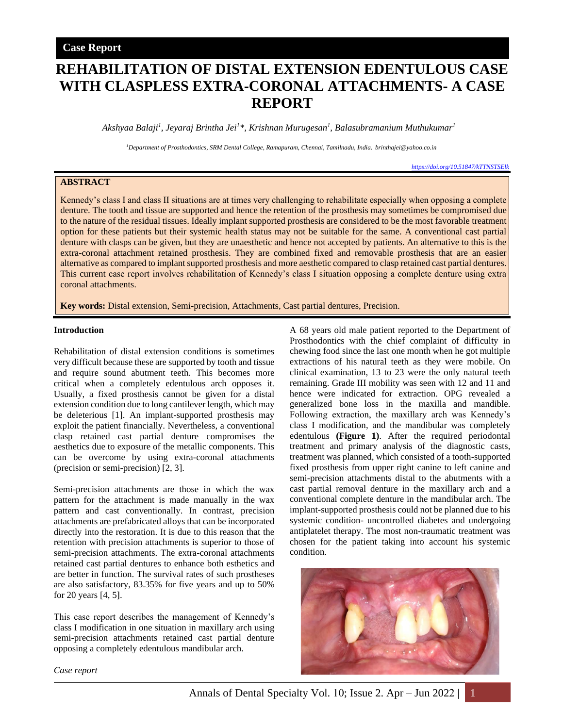# **REHABILITATION OF DISTAL EXTENSION EDENTULOUS CASE WITH CLASPLESS EXTRA-CORONAL ATTACHMENTS- A CASE REPORT**

*Akshyaa Balaji<sup>1</sup> , Jeyaraj Brintha Jei<sup>1</sup>\*, Krishnan Murugesan<sup>1</sup> , Balasubramanium Muthukumar<sup>1</sup>*

*<sup>1</sup>Department of Prosthodontics, SRM Dental College, Ramapuram, Chennai, Tamilnadu, India. brinthajei@yahoo.co.in*

## **ABSTRACT**

Kennedy's class I and class II situations are at times very challenging to rehabilitate especially when opposing a complete denture. The tooth and tissue are supported and hence the retention of the prosthesis may sometimes be compromised due to the nature of the residual tissues. Ideally implant supported prosthesis are considered to be the most favorable treatment option for these patients but their systemic health status may not be suitable for the same. A conventional cast partial denture with clasps can be given, but they are unaesthetic and hence not accepted by patients. An alternative to this is the extra-coronal attachment retained prosthesis. They are combined fixed and removable prosthesis that are an easier alternative as compared to implant supported prosthesis and more aesthetic compared to clasp retained cast partial dentures. This current case report involves rehabilitation of Kennedy's class I situation opposing a complete denture using extra coronal attachments.

**Key words:** Distal extension, Semi-precision, Attachments, Cast partial dentures, Precision.

#### **Introduction**

Rehabilitation of distal extension conditions is sometimes very difficult because these are supported by tooth and tissue and require sound abutment teeth. This becomes more critical when a completely edentulous arch opposes it. Usually, a fixed prosthesis cannot be given for a distal extension condition due to long cantilever length, which may be deleterious [1]. An implant-supported prosthesis may exploit the patient financially. Nevertheless, a conventional clasp retained cast partial denture compromises the aesthetics due to exposure of the metallic components. This can be overcome by using extra-coronal attachments (precision or semi-precision) [2, 3].

Semi-precision attachments are those in which the wax pattern for the attachment is made manually in the wax pattern and cast conventionally. In contrast, precision attachments are prefabricated alloys that can be incorporated directly into the restoration. It is due to this reason that the retention with precision attachments is superior to those of semi-precision attachments. The extra-coronal attachments retained cast partial dentures to enhance both esthetics and are better in function. The survival rates of such prostheses are also satisfactory, 83.35% for five years and up to 50% for 20 years [4, 5].

This case report describes the management of Kennedy's class I modification in one situation in maxillary arch using semi-precision attachments retained cast partial denture opposing a completely edentulous mandibular arch.

A 68 years old male patient reported to the Department of Prosthodontics with the chief complaint of difficulty in chewing food since the last one month when he got multiple extractions of his natural teeth as they were mobile. On clinical examination, 13 to 23 were the only natural teeth remaining. Grade III mobility was seen with 12 and 11 and hence were indicated for extraction. OPG revealed a generalized bone loss in the maxilla and mandible. Following extraction, the maxillary arch was Kennedy's class I modification, and the mandibular was completely edentulous **(Figure 1)**. After the required periodontal treatment and primary analysis of the diagnostic casts, treatment was planned, which consisted of a tooth-supported fixed prosthesis from upper right canine to left canine and semi-precision attachments distal to the abutments with a cast partial removal denture in the maxillary arch and a conventional complete denture in the mandibular arch. The implant-supported prosthesis could not be planned due to his systemic condition- uncontrolled diabetes and undergoing antiplatelet therapy. The most non-traumatic treatment was chosen for the patient taking into account his systemic condition.

*<https://doi.org/10.51847/kTTNSTSElk>*



*Case report*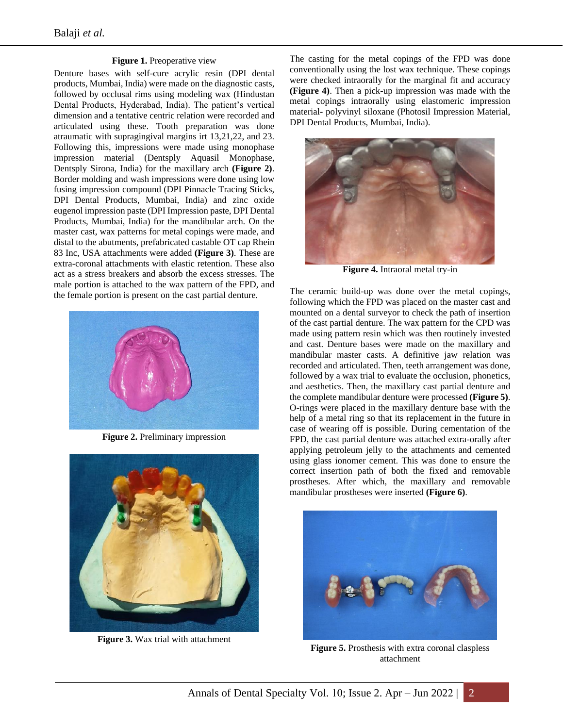### **Figure 1.** Preoperative view

Denture bases with self-cure acrylic resin (DPI dental products, Mumbai, India) were made on the diagnostic casts, followed by occlusal rims using modeling wax (Hindustan Dental Products, Hyderabad, India). The patient's vertical dimension and a tentative centric relation were recorded and articulated using these. Tooth preparation was done atraumatic with supragingival margins irt 13,21,22, and 23. Following this, impressions were made using monophase impression material (Dentsply Aquasil Monophase, Dentsply Sirona, India) for the maxillary arch **(Figure 2)**. Border molding and wash impressions were done using low fusing impression compound (DPI Pinnacle Tracing Sticks, DPI Dental Products, Mumbai, India) and zinc oxide eugenol impression paste (DPI Impression paste, DPI Dental Products, Mumbai, India) for the mandibular arch. On the master cast, wax patterns for metal copings were made, and distal to the abutments, prefabricated castable OT cap Rhein 83 Inc, USA attachments were added **(Figure 3)**. These are extra-coronal attachments with elastic retention. These also act as a stress breakers and absorb the excess stresses. The male portion is attached to the wax pattern of the FPD, and the female portion is present on the cast partial denture.



**Figure 2.** Preliminary impression



**Figure 3.** Wax trial with attachment

The casting for the metal copings of the FPD was done conventionally using the lost wax technique. These copings were checked intraorally for the marginal fit and accuracy **(Figure 4)**. Then a pick-up impression was made with the metal copings intraorally using elastomeric impression material- polyvinyl siloxane (Photosil Impression Material, DPI Dental Products, Mumbai, India).



**Figure 4.** Intraoral metal try-in

The ceramic build-up was done over the metal copings, following which the FPD was placed on the master cast and mounted on a dental surveyor to check the path of insertion of the cast partial denture. The wax pattern for the CPD was made using pattern resin which was then routinely invested and cast. Denture bases were made on the maxillary and mandibular master casts. A definitive jaw relation was recorded and articulated. Then, teeth arrangement was done, followed by a wax trial to evaluate the occlusion, phonetics, and aesthetics. Then, the maxillary cast partial denture and the complete mandibular denture were processed **(Figure 5)**. O-rings were placed in the maxillary denture base with the help of a metal ring so that its replacement in the future in case of wearing off is possible. During cementation of the FPD, the cast partial denture was attached extra-orally after applying petroleum jelly to the attachments and cemented using glass ionomer cement. This was done to ensure the correct insertion path of both the fixed and removable prostheses. After which, the maxillary and removable mandibular prostheses were inserted **(Figure 6)**.



**Figure 5.** Prosthesis with extra coronal claspless attachment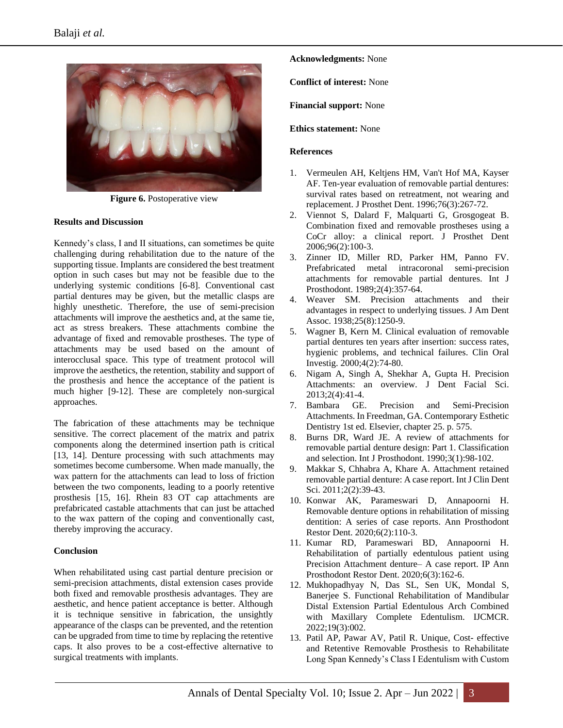

**Figure 6.** Postoperative view

#### **Results and Discussion**

Kennedy's class, I and II situations, can sometimes be quite challenging during rehabilitation due to the nature of the supporting tissue. Implants are considered the best treatment option in such cases but may not be feasible due to the underlying systemic conditions [6-8]. Conventional cast partial dentures may be given, but the metallic clasps are highly unesthetic. Therefore, the use of semi-precision attachments will improve the aesthetics and, at the same tie, act as stress breakers. These attachments combine the advantage of fixed and removable prostheses. The type of attachments may be used based on the amount of interocclusal space. This type of treatment protocol will improve the aesthetics, the retention, stability and support of the prosthesis and hence the acceptance of the patient is much higher [9-12]. These are completely non-surgical approaches.

The fabrication of these attachments may be technique sensitive. The correct placement of the matrix and patrix components along the determined insertion path is critical [13, 14]. Denture processing with such attachments may sometimes become cumbersome. When made manually, the wax pattern for the attachments can lead to loss of friction between the two components, leading to a poorly retentive prosthesis [15, 16]. Rhein 83 OT cap attachments are prefabricated castable attachments that can just be attached to the wax pattern of the coping and conventionally cast, thereby improving the accuracy.

### **Conclusion**

When rehabilitated using cast partial denture precision or semi-precision attachments, distal extension cases provide both fixed and removable prosthesis advantages. They are aesthetic, and hence patient acceptance is better. Although it is technique sensitive in fabrication, the unsightly appearance of the clasps can be prevented, and the retention can be upgraded from time to time by replacing the retentive caps. It also proves to be a cost-effective alternative to surgical treatments with implants.

**Acknowledgments:** None

**Conflict of interest:** None

**Financial support:** None

**Ethics statement:** None

#### **References**

- 1. Vermeulen AH, Keltjens HM, Van't Hof MA, Kayser AF. Ten-year evaluation of removable partial dentures: survival rates based on retreatment, not wearing and replacement. J Prosthet Dent. 1996;76(3):267-72.
- 2. Viennot S, Dalard F, Malquarti G, Grosgogeat B. Combination fixed and removable prostheses using a CoCr alloy: a clinical report. J Prosthet Dent 2006;96(2):100-3.
- 3. Zinner ID, Miller RD, Parker HM, Panno FV. Prefabricated metal intracoronal semi-precision attachments for removable partial dentures. Int J Prosthodont. 1989;2(4):357-64.
- 4. Weaver SM. Precision attachments and their advantages in respect to underlying tissues. J Am Dent Assoc. 1938;25(8):1250-9.
- 5. Wagner B, Kern M. Clinical evaluation of removable partial dentures ten years after insertion: success rates, hygienic problems, and technical failures. Clin Oral Investig. 2000;4(2):74-80.
- 6. Nigam A, Singh A, Shekhar A, Gupta H. Precision Attachments: an overview. J Dent Facial Sci. 2013;2(4):41-4.
- 7. Bambara GE. Precision and Semi-Precision Attachments. In Freedman, GA. Contemporary Esthetic Dentistry 1st ed. Elsevier, chapter 25. p. 575.
- 8. Burns DR, Ward JE. A review of attachments for removable partial denture design: Part 1. Classification and selection. Int J Prosthodont. 1990;3(1):98-102.
- 9. Makkar S, Chhabra A, Khare A. Attachment retained removable partial denture: A case report. Int J Clin Dent Sci. 2011;2(2):39-43.
- 10. Konwar AK, Parameswari D, Annapoorni H. Removable denture options in rehabilitation of missing dentition: A series of case reports. Ann Prosthodont Restor Dent. 2020;6(2):110-3.
- 11. Kumar RD, Parameswari BD, Annapoorni H. Rehabilitation of partially edentulous patient using Precision Attachment denture– A case report. IP Ann Prosthodont Restor Dent. 2020;6(3):162-6.
- 12. Mukhopadhyay N, Das SL, Sen UK, Mondal S, Banerjee S. Functional Rehabilitation of Mandibular Distal Extension Partial Edentulous Arch Combined with Maxillary Complete Edentulism. IJCMCR. 2022;19(3):002.
- 13. Patil AP, Pawar AV, Patil R. Unique, Cost- effective and Retentive Removable Prosthesis to Rehabilitate Long Span Kennedy's Class I Edentulism with Custom